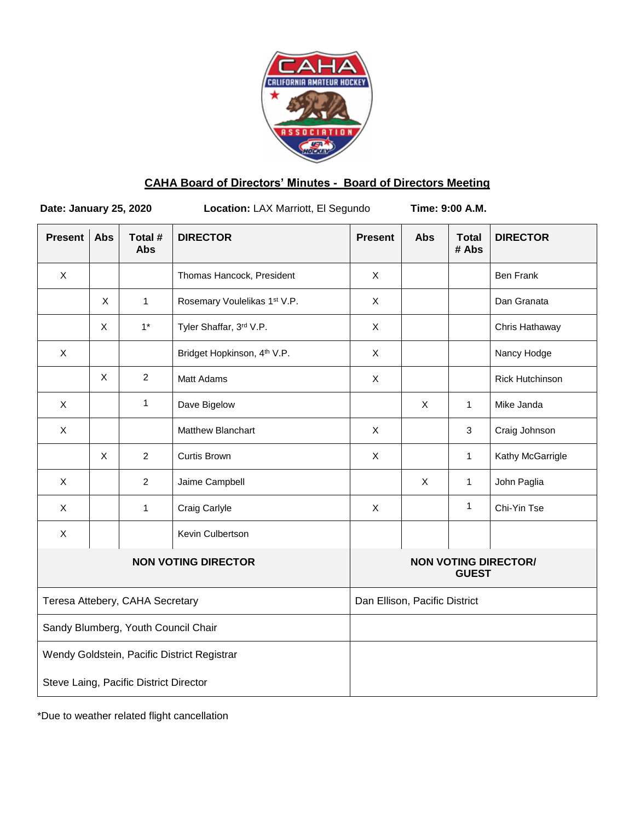

# **CAHA Board of Directors' Minutes - Board of Directors Meeting**

**Date: January 25, 2020 Location:** LAX Marriott, El Segundo **Time: 9:00 A.M.**

| <b>Present</b>                              | <b>Abs</b> | Total #<br><b>Abs</b> | <b>DIRECTOR</b>                         | <b>Present</b>                              | <b>Abs</b> | <b>Total</b><br># Abs | <b>DIRECTOR</b>        |
|---------------------------------------------|------------|-----------------------|-----------------------------------------|---------------------------------------------|------------|-----------------------|------------------------|
| X                                           |            |                       | Thomas Hancock, President               | X                                           |            |                       | <b>Ben Frank</b>       |
|                                             | X          | 1                     | Rosemary Voulelikas 1st V.P.            | $\mathsf{X}$                                |            |                       | Dan Granata            |
|                                             | X          | $1*$                  | Tyler Shaffar, 3rd V.P.                 | $\mathsf{X}$                                |            |                       | Chris Hathaway         |
| X                                           |            |                       | Bridget Hopkinson, 4 <sup>th</sup> V.P. | $\mathsf{X}$                                |            |                       | Nancy Hodge            |
|                                             | X          | $\overline{2}$        | <b>Matt Adams</b>                       | $\mathsf{X}$                                |            |                       | <b>Rick Hutchinson</b> |
| $\mathsf{X}$                                |            | 1                     | Dave Bigelow                            |                                             | X          | $\mathbf{1}$          | Mike Janda             |
| $\mathsf X$                                 |            |                       | Matthew Blanchart                       | $\mathsf{X}$                                |            | $\mathfrak{S}$        | Craig Johnson          |
|                                             | X          | $\overline{2}$        | Curtis Brown                            | X                                           |            | $\mathbf{1}$          | Kathy McGarrigle       |
| $\mathsf{X}$                                |            | 2                     | Jaime Campbell                          |                                             | X          | $\mathbf{1}$          | John Paglia            |
| X                                           |            | 1                     | Craig Carlyle                           | $\mathsf{X}$                                |            | $\mathbf{1}$          | Chi-Yin Tse            |
| $\pmb{\times}$                              |            |                       | Kevin Culbertson                        |                                             |            |                       |                        |
| <b>NON VOTING DIRECTOR</b>                  |            |                       |                                         | <b>NON VOTING DIRECTOR/</b><br><b>GUEST</b> |            |                       |                        |
| Teresa Attebery, CAHA Secretary             |            |                       |                                         | Dan Ellison, Pacific District               |            |                       |                        |
| Sandy Blumberg, Youth Council Chair         |            |                       |                                         |                                             |            |                       |                        |
| Wendy Goldstein, Pacific District Registrar |            |                       |                                         |                                             |            |                       |                        |
| Steve Laing, Pacific District Director      |            |                       |                                         |                                             |            |                       |                        |

\*Due to weather related flight cancellation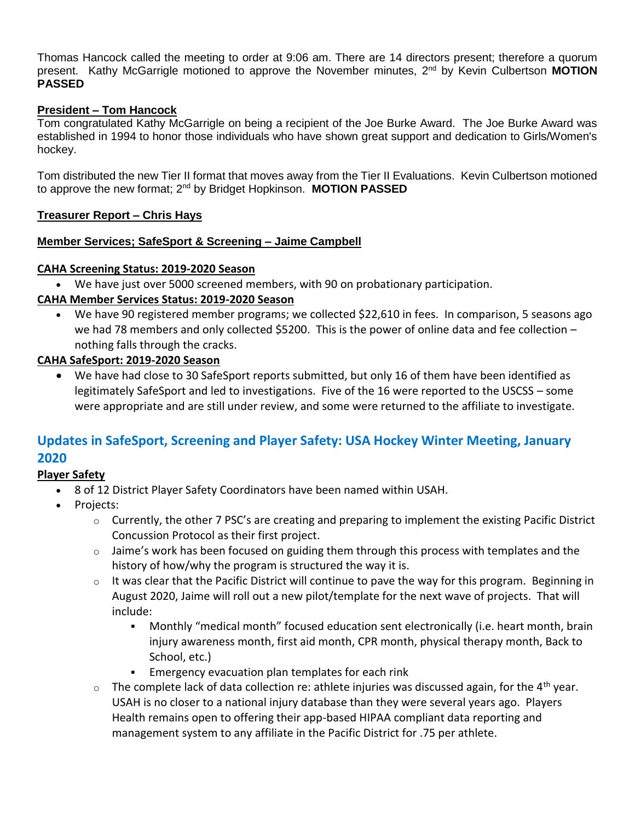Thomas Hancock called the meeting to order at 9:06 am. There are 14 directors present; therefore a quorum present. Kathy McGarrigle motioned to approve the November minutes, 2<sup>nd</sup> by Kevin Culbertson MOTION **PASSED**

# **President – Tom Hancock**

Tom congratulated Kathy McGarrigle on being a recipient of the Joe Burke Award. The Joe Burke Award was established in 1994 to honor those individuals who have shown great support and dedication to Girls/Women's hockey.

Tom distributed the new Tier II format that moves away from the Tier II Evaluations. Kevin Culbertson motioned to approve the new format; 2nd by Bridget Hopkinson. **MOTION PASSED**

## **Treasurer Report – Chris Hays**

## **Member Services; SafeSport & Screening – Jaime Campbell**

### **CAHA Screening Status: 2019-2020 Season**

We have just over 5000 screened members, with 90 on probationary participation.

## **CAHA Member Services Status: 2019-2020 Season**

We have 90 registered member programs; we collected \$22,610 in fees. In comparison, 5 seasons ago we had 78 members and only collected \$5200. This is the power of online data and fee collection nothing falls through the cracks.

# **CAHA SafeSport: 2019-2020 Season**

 We have had close to 30 SafeSport reports submitted, but only 16 of them have been identified as legitimately SafeSport and led to investigations. Five of the 16 were reported to the USCSS – some were appropriate and are still under review, and some were returned to the affiliate to investigate.

# **Updates in SafeSport, Screening and Player Safety: USA Hockey Winter Meeting, January 2020**

## **Player Safety**

- 8 of 12 District Player Safety Coordinators have been named within USAH.
- Projects:
	- $\circ$  Currently, the other 7 PSC's are creating and preparing to implement the existing Pacific District Concussion Protocol as their first project.
	- $\circ$  Jaime's work has been focused on guiding them through this process with templates and the history of how/why the program is structured the way it is.
	- o It was clear that the Pacific District will continue to pave the way for this program. Beginning in August 2020, Jaime will roll out a new pilot/template for the next wave of projects. That will include:
		- Monthly "medical month" focused education sent electronically (i.e. heart month, brain injury awareness month, first aid month, CPR month, physical therapy month, Back to School, etc.)
		- **Emergency evacuation plan templates for each rink**
	- $\circ$  The complete lack of data collection re: athlete injuries was discussed again, for the 4<sup>th</sup> year. USAH is no closer to a national injury database than they were several years ago. Players Health remains open to offering their app-based HIPAA compliant data reporting and management system to any affiliate in the Pacific District for .75 per athlete.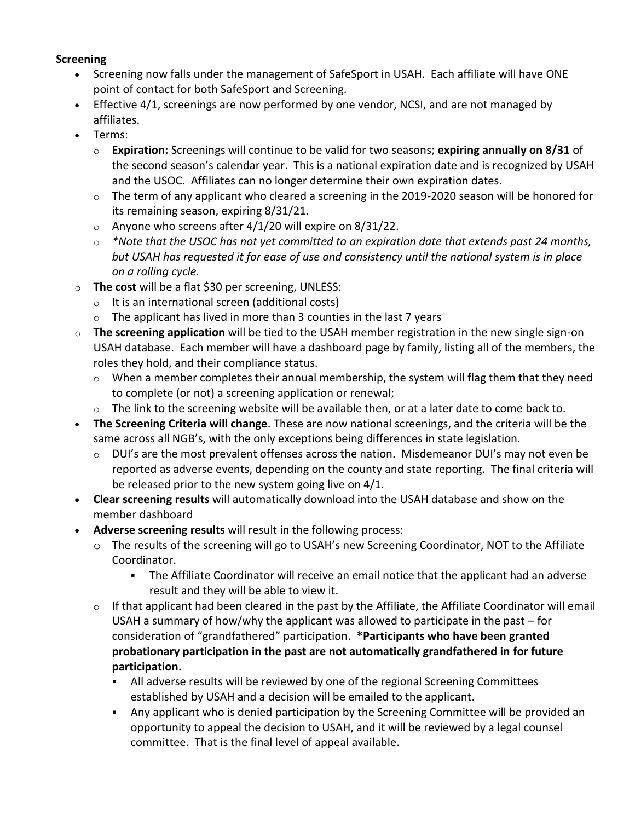# **Screening**

- Screening now falls under the management of SafeSport in USAH. Each affiliate will have ONE point of contact for both SafeSport and Screening.
- Effective 4/1, screenings are now performed by one vendor, NCSI, and are not managed by affiliates.
- Terms:
	- o **Expiration:** Screenings will continue to be valid for two seasons; **expiring annually on 8/31** of the second season's calendar year. This is a national expiration date and is recognized by USAH and the USOC. Affiliates can no longer determine their own expiration dates.
	- $\circ$  The term of any applicant who cleared a screening in the 2019-2020 season will be honored for its remaining season, expiring 8/31/21.
	- $\circ$  Anyone who screens after 4/1/20 will expire on 8/31/22.
	- o *\*Note that the USOC has not yet committed to an expiration date that extends past 24 months, but USAH has requested it for ease of use and consistency until the national system is in place on a rolling cycle.*
- o **The cost** will be a flat \$30 per screening, UNLESS:
	- $\circ$  It is an international screen (additional costs)
	- $\circ$  The applicant has lived in more than 3 counties in the last 7 years
- o **The screening application** will be tied to the USAH member registration in the new single sign-on USAH database. Each member will have a dashboard page by family, listing all of the members, the roles they hold, and their compliance status.
	- o When a member completes their annual membership, the system will flag them that they need to complete (or not) a screening application or renewal;
	- $\circ$  The link to the screening website will be available then, or at a later date to come back to.
- **The Screening Criteria will change**. These are now national screenings, and the criteria will be the same across all NGB's, with the only exceptions being differences in state legislation.
	- $\circ$  DUI's are the most prevalent offenses across the nation. Misdemeanor DUI's may not even be reported as adverse events, depending on the county and state reporting. The final criteria will be released prior to the new system going live on 4/1.
- **Clear screening results** will automatically download into the USAH database and show on the member dashboard
- **Adverse screening results** will result in the following process:
	- o The results of the screening will go to USAH's new Screening Coordinator, NOT to the Affiliate Coordinator.
		- The Affiliate Coordinator will receive an email notice that the applicant had an adverse result and they will be able to view it.
	- o If that applicant had been cleared in the past by the Affiliate, the Affiliate Coordinator will email USAH a summary of how/why the applicant was allowed to participate in the past – for consideration of "grandfathered" participation. **\*Participants who have been granted probationary participation in the past are not automatically grandfathered in for future participation.**
		- All adverse results will be reviewed by one of the regional Screening Committees established by USAH and a decision will be emailed to the applicant.
		- Any applicant who is denied participation by the Screening Committee will be provided an opportunity to appeal the decision to USAH, and it will be reviewed by a legal counsel committee. That is the final level of appeal available.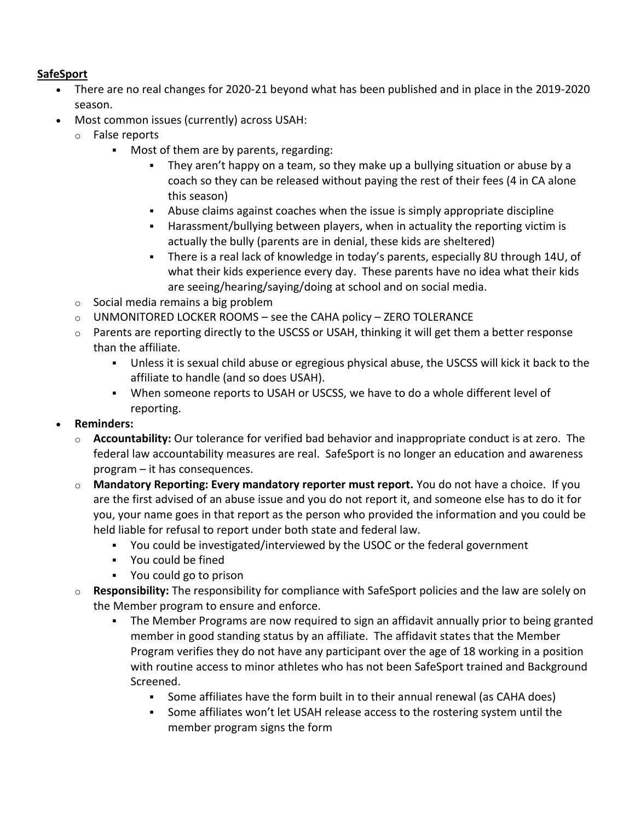# **SafeSport**

- There are no real changes for 2020-21 beyond what has been published and in place in the 2019-2020 season.
- Most common issues (currently) across USAH:
	- o False reports
		- **Most of them are by parents, regarding:** 
			- They aren't happy on a team, so they make up a bullying situation or abuse by a coach so they can be released without paying the rest of their fees (4 in CA alone this season)
			- Abuse claims against coaches when the issue is simply appropriate discipline
			- Harassment/bullying between players, when in actuality the reporting victim is actually the bully (parents are in denial, these kids are sheltered)
			- There is a real lack of knowledge in today's parents, especially 8U through 14U, of what their kids experience every day. These parents have no idea what their kids are seeing/hearing/saying/doing at school and on social media.
	- $\circ$  Social media remains a big problem
	- $\circ$  UNMONITORED LOCKER ROOMS see the CAHA policy ZERO TOLERANCE
	- $\circ$  Parents are reporting directly to the USCSS or USAH, thinking it will get them a better response than the affiliate.
		- Unless it is sexual child abuse or egregious physical abuse, the USCSS will kick it back to the affiliate to handle (and so does USAH).
		- When someone reports to USAH or USCSS, we have to do a whole different level of reporting.
- **Reminders:** 
	- o **Accountability:** Our tolerance for verified bad behavior and inappropriate conduct is at zero. The federal law accountability measures are real. SafeSport is no longer an education and awareness program – it has consequences.
	- o **Mandatory Reporting: Every mandatory reporter must report.** You do not have a choice. If you are the first advised of an abuse issue and you do not report it, and someone else has to do it for you, your name goes in that report as the person who provided the information and you could be held liable for refusal to report under both state and federal law.
		- You could be investigated/interviewed by the USOC or the federal government
		- You could be fined
		- You could go to prison
	- o **Responsibility:** The responsibility for compliance with SafeSport policies and the law are solely on the Member program to ensure and enforce.
		- The Member Programs are now required to sign an affidavit annually prior to being granted member in good standing status by an affiliate. The affidavit states that the Member Program verifies they do not have any participant over the age of 18 working in a position with routine access to minor athletes who has not been SafeSport trained and Background Screened.
			- Some affiliates have the form built in to their annual renewal (as CAHA does)
			- Some affiliates won't let USAH release access to the rostering system until the member program signs the form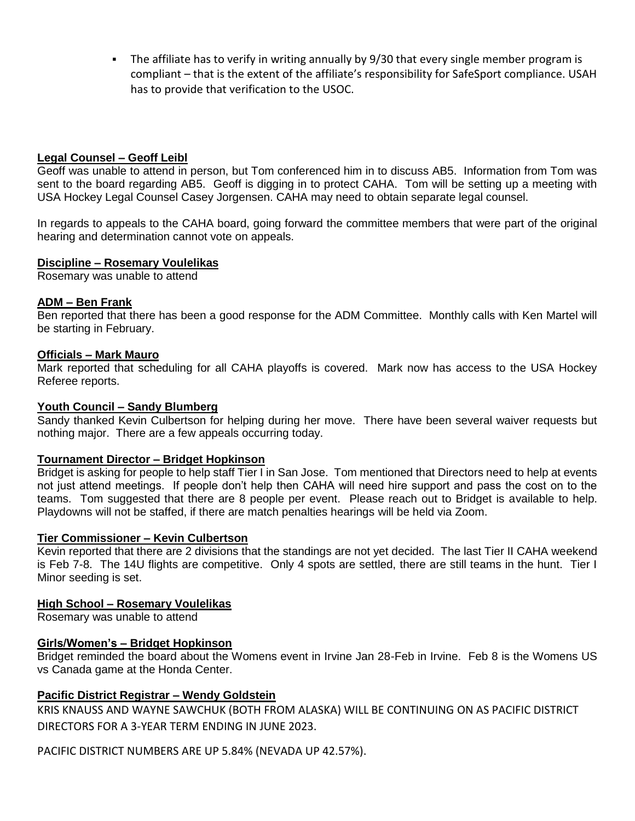The affiliate has to verify in writing annually by 9/30 that every single member program is compliant – that is the extent of the affiliate's responsibility for SafeSport compliance. USAH has to provide that verification to the USOC.

### **Legal Counsel – Geoff Leibl**

Geoff was unable to attend in person, but Tom conferenced him in to discuss AB5. Information from Tom was sent to the board regarding AB5. Geoff is digging in to protect CAHA. Tom will be setting up a meeting with USA Hockey Legal Counsel Casey Jorgensen. CAHA may need to obtain separate legal counsel.

In regards to appeals to the CAHA board, going forward the committee members that were part of the original hearing and determination cannot vote on appeals.

#### **Discipline – Rosemary Voulelikas**

Rosemary was unable to attend

#### **ADM – Ben Frank**

Ben reported that there has been a good response for the ADM Committee. Monthly calls with Ken Martel will be starting in February.

#### **Officials – Mark Mauro**

Mark reported that scheduling for all CAHA playoffs is covered. Mark now has access to the USA Hockey Referee reports.

#### **Youth Council – Sandy Blumberg**

Sandy thanked Kevin Culbertson for helping during her move. There have been several waiver requests but nothing major. There are a few appeals occurring today.

#### **Tournament Director – Bridget Hopkinson**

Bridget is asking for people to help staff Tier I in San Jose. Tom mentioned that Directors need to help at events not just attend meetings. If people don't help then CAHA will need hire support and pass the cost on to the teams. Tom suggested that there are 8 people per event. Please reach out to Bridget is available to help. Playdowns will not be staffed, if there are match penalties hearings will be held via Zoom.

#### **Tier Commissioner – Kevin Culbertson**

Kevin reported that there are 2 divisions that the standings are not yet decided. The last Tier II CAHA weekend is Feb 7-8. The 14U flights are competitive. Only 4 spots are settled, there are still teams in the hunt. Tier I Minor seeding is set.

#### **High School – Rosemary Voulelikas**

Rosemary was unable to attend

#### **Girls/Women's – Bridget Hopkinson**

Bridget reminded the board about the Womens event in Irvine Jan 28-Feb in Irvine. Feb 8 is the Womens US vs Canada game at the Honda Center.

#### **Pacific District Registrar – Wendy Goldstein**

KRIS KNAUSS AND WAYNE SAWCHUK (BOTH FROM ALASKA) WILL BE CONTINUING ON AS PACIFIC DISTRICT DIRECTORS FOR A 3-YEAR TERM ENDING IN JUNE 2023.

PACIFIC DISTRICT NUMBERS ARE UP 5.84% (NEVADA UP 42.57%).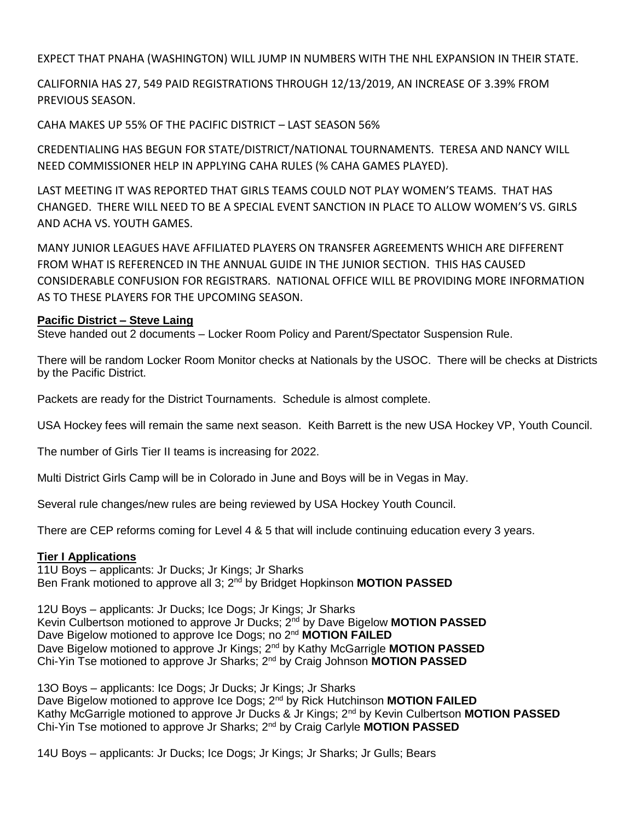EXPECT THAT PNAHA (WASHINGTON) WILL JUMP IN NUMBERS WITH THE NHL EXPANSION IN THEIR STATE.

CALIFORNIA HAS 27, 549 PAID REGISTRATIONS THROUGH 12/13/2019, AN INCREASE OF 3.39% FROM PREVIOUS SEASON.

CAHA MAKES UP 55% OF THE PACIFIC DISTRICT – LAST SEASON 56%

CREDENTIALING HAS BEGUN FOR STATE/DISTRICT/NATIONAL TOURNAMENTS. TERESA AND NANCY WILL NEED COMMISSIONER HELP IN APPLYING CAHA RULES (% CAHA GAMES PLAYED).

LAST MEETING IT WAS REPORTED THAT GIRLS TEAMS COULD NOT PLAY WOMEN'S TEAMS. THAT HAS CHANGED. THERE WILL NEED TO BE A SPECIAL EVENT SANCTION IN PLACE TO ALLOW WOMEN'S VS. GIRLS AND ACHA VS. YOUTH GAMES.

MANY JUNIOR LEAGUES HAVE AFFILIATED PLAYERS ON TRANSFER AGREEMENTS WHICH ARE DIFFERENT FROM WHAT IS REFERENCED IN THE ANNUAL GUIDE IN THE JUNIOR SECTION. THIS HAS CAUSED CONSIDERABLE CONFUSION FOR REGISTRARS. NATIONAL OFFICE WILL BE PROVIDING MORE INFORMATION AS TO THESE PLAYERS FOR THE UPCOMING SEASON.

# **Pacific District – Steve Laing**

Steve handed out 2 documents – Locker Room Policy and Parent/Spectator Suspension Rule.

There will be random Locker Room Monitor checks at Nationals by the USOC. There will be checks at Districts by the Pacific District.

Packets are ready for the District Tournaments. Schedule is almost complete.

USA Hockey fees will remain the same next season. Keith Barrett is the new USA Hockey VP, Youth Council.

The number of Girls Tier II teams is increasing for 2022.

Multi District Girls Camp will be in Colorado in June and Boys will be in Vegas in May.

Several rule changes/new rules are being reviewed by USA Hockey Youth Council.

There are CEP reforms coming for Level 4 & 5 that will include continuing education every 3 years.

# **Tier I Applications**

11U Boys – applicants: Jr Ducks; Jr Kings; Jr Sharks Ben Frank motioned to approve all 3; 2nd by Bridget Hopkinson **MOTION PASSED**

12U Boys – applicants: Jr Ducks; Ice Dogs; Jr Kings; Jr Sharks Kevin Culbertson motioned to approve Jr Ducks; 2nd by Dave Bigelow **MOTION PASSED** Dave Bigelow motioned to approve Ice Dogs; no 2nd **MOTION FAILED** Dave Bigelow motioned to approve Jr Kings; 2nd by Kathy McGarrigle **MOTION PASSED** Chi-Yin Tse motioned to approve Jr Sharks; 2nd by Craig Johnson **MOTION PASSED**

13O Boys – applicants: Ice Dogs; Jr Ducks; Jr Kings; Jr Sharks Dave Bigelow motioned to approve Ice Dogs; 2nd by Rick Hutchinson **MOTION FAILED** Kathy McGarrigle motioned to approve Jr Ducks & Jr Kings; 2nd by Kevin Culbertson **MOTION PASSED** Chi-Yin Tse motioned to approve Jr Sharks; 2nd by Craig Carlyle **MOTION PASSED**

14U Boys – applicants: Jr Ducks; Ice Dogs; Jr Kings; Jr Sharks; Jr Gulls; Bears